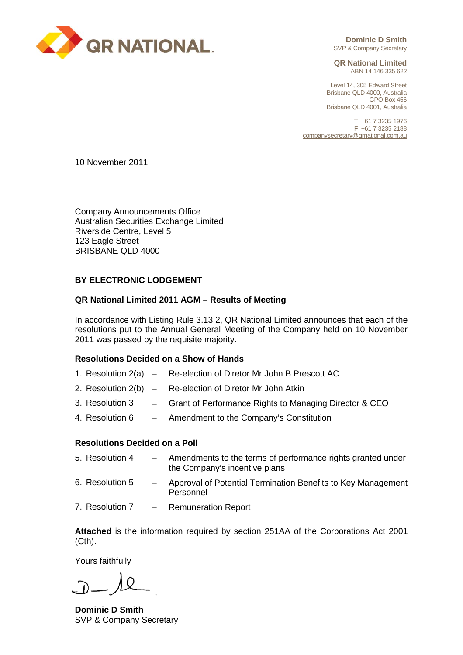

**Dominic D Smith** SVP & Company Secretary

**QR National Limited** ABN 14 146 335 622

Level 14, 305 Edward Street Brisbane QLD 4000, Australia GPO Box 456 Brisbane QLD 4001, Australia

T +61 7 3235 1976 F +61 7 3235 2188 [companysecretary@qrnational.com.au](mailto:companysecretary@qrnational.com.au)

10 November 2011

Company Announcements Office Australian Securities Exchange Limited Riverside Centre, Level 5 123 Eagle Street BRISBANE QLD 4000

# **BY ELECTRONIC LODGEMENT**

## **QR National Limited 2011 AGM – Results of Meeting**

In accordance with Listing Rule 3.13.2, QR National Limited announces that each of the resolutions put to the Annual General Meeting of the Company held on 10 November 2011 was passed by the requisite majority.

## **Resolutions Decided on a Show of Hands**

- 1. Resolution 2(a) Re-election of Diretor Mr John B Prescott AC
- 2. Resolution 2(b) Re-election of Diretor Mr John Atkin
- 3. Resolution 3 − Grant of Performance Rights to Managing Director & CEO
- 4. Resolution 6 − Amendment to the Company's Constitution

#### **Resolutions Decided on a Poll**

| 5. Resolution 4 | Amendments to the terms of performance rights granted under<br>the Company's incentive plans |
|-----------------|----------------------------------------------------------------------------------------------|
| 6. Resolution 5 | Approval of Potential Termination Benefits to Key Management<br>Personnel                    |
|                 | 7. Resolution 7 - Remuneration Report                                                        |

**Attached** is the information required by section 251AA of the Corporations Act 2001 (Cth).

Yours faithfully

**Dominic D Smith** SVP & Company Secretary